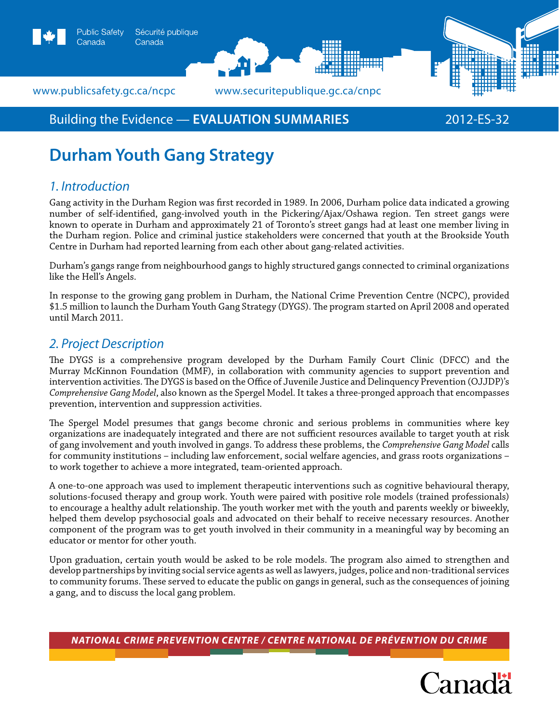



www.publicsafety.gc.ca/ncpc *www.securitepublique.gc.ca/cnpc* 

# Building the Evidence — **Evaluation summaries** 2012-ES-32

# **Durham Youth Gang Strategy**

# *1. Introduction*

Gang activity in the Durham Region was first recorded in 1989. In 2006, Durham police data indicated a growing number of self-identified, gang-involved youth in the Pickering/Ajax/Oshawa region. Ten street gangs were known to operate in Durham and approximately 21 of Toronto's street gangs had at least one member living in the Durham region. Police and criminal justice stakeholders were concerned that youth at the Brookside Youth Centre in Durham had reported learning from each other about gang-related activities.

Durham's gangs range from neighbourhood gangs to highly structured gangs connected to criminal organizations like the Hell's Angels.

In response to the growing gang problem in Durham, the National Crime Prevention Centre (NCPC), provided \$1.5 million to launch the Durham Youth Gang Strategy (DYGS). The program started on April 2008 and operated until March 2011.

# *2. Project Description*

The DYGS is a comprehensive program developed by the Durham Family Court Clinic (DFCC) and the Murray McKinnon Foundation (MMF), in collaboration with community agencies to support prevention and intervention activities. The DYGS is based on the Office of Juvenile Justice and Delinquency Prevention (OJJDP)'s *Comprehensive Gang Model*, also known as the Spergel Model. It takes a three-pronged approach that encompasses prevention, intervention and suppression activities.

The Spergel Model presumes that gangs become chronic and serious problems in communities where key organizations are inadequately integrated and there are not sufficient resources available to target youth at risk of gang involvement and youth involved in gangs. To address these problems, the *Comprehensive Gang Model* calls for community institutions – including law enforcement, social welfare agencies, and grass roots organizations – to work together to achieve a more integrated, team-oriented approach.

A one-to-one approach was used to implement therapeutic interventions such as cognitive behavioural therapy, solutions-focused therapy and group work. Youth were paired with positive role models (trained professionals) to encourage a healthy adult relationship. The youth worker met with the youth and parents weekly or biweekly, helped them develop psychosocial goals and advocated on their behalf to receive necessary resources. Another component of the program was to get youth involved in their community in a meaningful way by becoming an educator or mentor for other youth.

Upon graduation, certain youth would be asked to be role models. The program also aimed to strengthen and develop partnerships by inviting social service agents as well as lawyers, judges, police and non-traditional services to community forums. These served to educate the public on gangs in general, such as the consequences of joining a gang, and to discuss the local gang problem.

*National Crime Prevention Centre / centre national de prévention du crime*

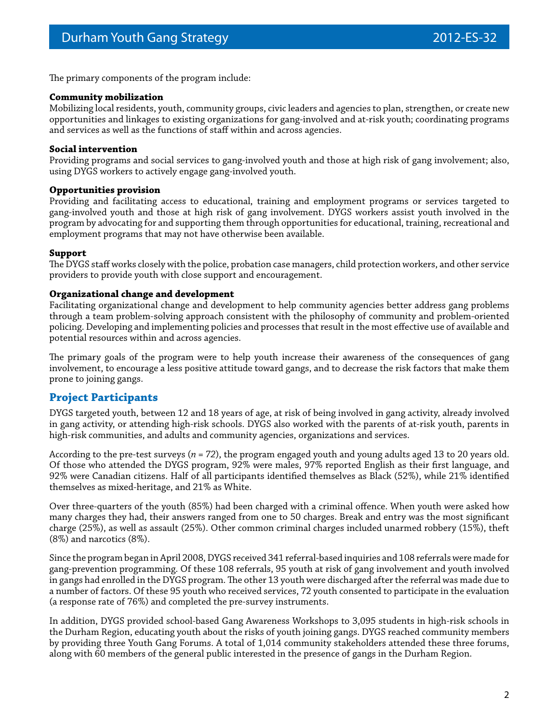The primary components of the program include:

#### **Community mobilization**

Mobilizing local residents, youth, community groups, civic leaders and agencies to plan, strengthen, or create new opportunities and linkages to existing organizations for gang-involved and at-risk youth; coordinating programs and services as well as the functions of staff within and across agencies.

#### **Social intervention**

Providing programs and social services to gang-involved youth and those at high risk of gang involvement; also, using DYGS workers to actively engage gang-involved youth.

#### **Opportunities provision**

Providing and facilitating access to educational, training and employment programs or services targeted to gang-involved youth and those at high risk of gang involvement. DYGS workers assist youth involved in the program by advocating for and supporting them through opportunities for educational, training, recreational and employment programs that may not have otherwise been available.

#### **Support**

The DYGS staff works closely with the police, probation case managers, child protection workers, and other service providers to provide youth with close support and encouragement.

#### **Organizational change and development**

Facilitating organizational change and development to help community agencies better address gang problems through a team problem-solving approach consistent with the philosophy of community and problem-oriented policing. Developing and implementing policies and processes that result in the most effective use of available and potential resources within and across agencies.

The primary goals of the program were to help youth increase their awareness of the consequences of gang involvement, to encourage a less positive attitude toward gangs, and to decrease the risk factors that make them prone to joining gangs.

## **Project Participants**

DYGS targeted youth, between 12 and 18 years of age, at risk of being involved in gang activity, already involved in gang activity, or attending high-risk schools. DYGS also worked with the parents of at-risk youth, parents in high-risk communities, and adults and community agencies, organizations and services.

According to the pre-test surveys (*n = 72*), the program engaged youth and young adults aged 13 to 20 years old. Of those who attended the DYGS program, 92% were males, 97% reported English as their first language, and 92% were Canadian citizens. Half of all participants identified themselves as Black (52%), while 21% identified themselves as mixed-heritage, and 21% as White.

Over three-quarters of the youth (85%) had been charged with a criminal offence. When youth were asked how many charges they had, their answers ranged from one to 50 charges. Break and entry was the most significant charge (25%), as well as assault (25%). Other common criminal charges included unarmed robbery (15%), theft (8%) and narcotics (8%).

Since the program began in April 2008, DYGS received 341 referral-based inquiries and 108 referrals were made for gang-prevention programming. Of these 108 referrals, 95 youth at risk of gang involvement and youth involved in gangs had enrolled in the DYGS program. The other 13 youth were discharged after the referral was made due to a number of factors. Of these 95 youth who received services, 72 youth consented to participate in the evaluation (a response rate of 76%) and completed the pre-survey instruments.

In addition, DYGS provided school-based Gang Awareness Workshops to 3,095 students in high-risk schools in the Durham Region, educating youth about the risks of youth joining gangs. DYGS reached community members by providing three Youth Gang Forums. A total of 1,014 community stakeholders attended these three forums, along with 60 members of the general public interested in the presence of gangs in the Durham Region.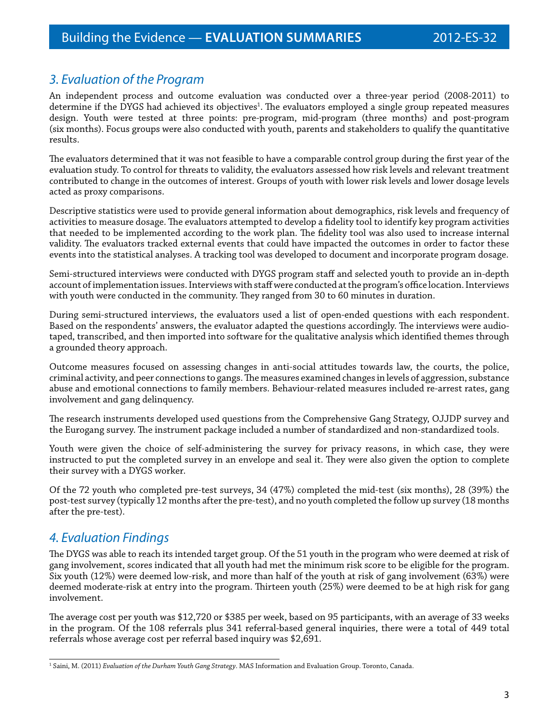# *3. Evaluation of the Program*

An independent process and outcome evaluation was conducted over a three-year period (2008-2011) to determine if the DYGS had achieved its objectives<sup>1</sup>. The evaluators employed a single group repeated measures design. Youth were tested at three points: pre-program, mid-program (three months) and post-program (six months). Focus groups were also conducted with youth, parents and stakeholders to qualify the quantitative results.

The evaluators determined that it was not feasible to have a comparable control group during the first year of the evaluation study. To control for threats to validity, the evaluators assessed how risk levels and relevant treatment contributed to change in the outcomes of interest. Groups of youth with lower risk levels and lower dosage levels acted as proxy comparisons.

Descriptive statistics were used to provide general information about demographics, risk levels and frequency of activities to measure dosage. The evaluators attempted to develop a fidelity tool to identify key program activities that needed to be implemented according to the work plan. The fidelity tool was also used to increase internal validity. The evaluators tracked external events that could have impacted the outcomes in order to factor these events into the statistical analyses. A tracking tool was developed to document and incorporate program dosage.

Semi-structured interviews were conducted with DYGS program staff and selected youth to provide an in-depth account of implementation issues. Interviews with staff were conducted at the program's office location. Interviews with youth were conducted in the community. They ranged from 30 to 60 minutes in duration.

During semi-structured interviews, the evaluators used a list of open-ended questions with each respondent. Based on the respondents' answers, the evaluator adapted the questions accordingly. The interviews were audiotaped, transcribed, and then imported into software for the qualitative analysis which identified themes through a grounded theory approach.

Outcome measures focused on assessing changes in anti-social attitudes towards law, the courts, the police, criminal activity, and peer connections to gangs. The measures examined changes in levels of aggression, substance abuse and emotional connections to family members. Behaviour-related measures included re-arrest rates, gang involvement and gang delinquency.

The research instruments developed used questions from the Comprehensive Gang Strategy, OJJDP survey and the Eurogang survey. The instrument package included a number of standardized and non-standardized tools.

Youth were given the choice of self-administering the survey for privacy reasons, in which case, they were instructed to put the completed survey in an envelope and seal it. They were also given the option to complete their survey with a DYGS worker.

Of the 72 youth who completed pre-test surveys, 34 (47%) completed the mid-test (six months), 28 (39%) the post-test survey (typically 12 months after the pre-test), and no youth completed the follow up survey (18 months after the pre-test).

# *4. Evaluation Findings*

The DYGS was able to reach its intended target group. Of the 51 youth in the program who were deemed at risk of gang involvement, scores indicated that all youth had met the minimum risk score to be eligible for the program. Six youth (12%) were deemed low-risk, and more than half of the youth at risk of gang involvement (63%) were deemed moderate-risk at entry into the program. Thirteen youth (25%) were deemed to be at high risk for gang involvement.

The average cost per youth was \$12,720 or \$385 per week, based on 95 participants, with an average of 33 weeks in the program. Of the 108 referrals plus 341 referral-based general inquiries, there were a total of 449 total referrals whose average cost per referral based inquiry was \$2,691.

<sup>1</sup> Saini, M. (2011) *Evaluation of the Durham Youth Gang Strategy*. MAS Information and Evaluation Group. Toronto, Canada.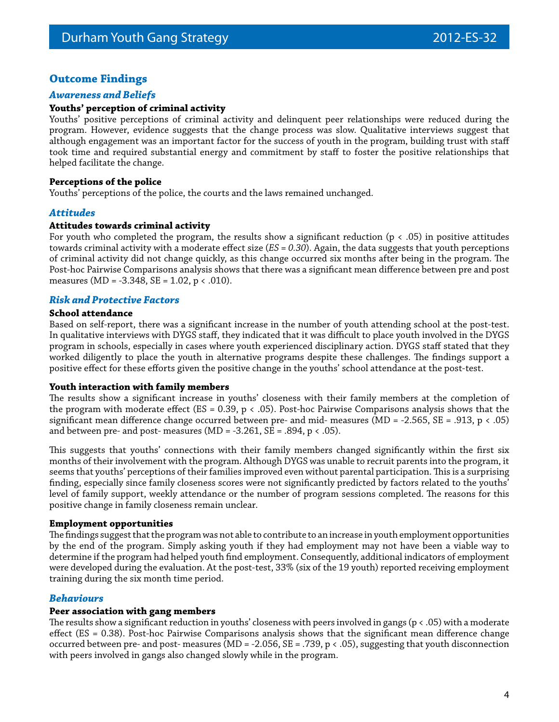## **Outcome Findings**

#### *Awareness and Beliefs*

#### **Youths' perception of criminal activity**

Youths' positive perceptions of criminal activity and delinquent peer relationships were reduced during the program. However, evidence suggests that the change process was slow. Qualitative interviews suggest that although engagement was an important factor for the success of youth in the program, building trust with staff took time and required substantial energy and commitment by staff to foster the positive relationships that helped facilitate the change.

#### **Perceptions of the police**

Youths' perceptions of the police, the courts and the laws remained unchanged.

#### *Attitudes*

#### **Attitudes towards criminal activity**

For youth who completed the program, the results show a significant reduction ( $p < .05$ ) in positive attitudes towards criminal activity with a moderate effect size (*ES = 0.30*). Again, the data suggests that youth perceptions of criminal activity did not change quickly, as this change occurred six months after being in the program. The Post-hoc Pairwise Comparisons analysis shows that there was a significant mean difference between pre and post measures (MD =  $-3.348$ , SE = 1.02, p < .010).

#### *Risk and Protective Factors*

#### **School attendance**

Based on self-report, there was a significant increase in the number of youth attending school at the post-test. In qualitative interviews with DYGS staff, they indicated that it was difficult to place youth involved in the DYGS program in schools, especially in cases where youth experienced disciplinary action. DYGS staff stated that they worked diligently to place the youth in alternative programs despite these challenges. The findings support a positive effect for these efforts given the positive change in the youths' school attendance at the post-test.

#### **Youth interaction with family members**

The results show a significant increase in youths' closeness with their family members at the completion of the program with moderate effect (ES = 0.39, p < .05). Post-hoc Pairwise Comparisons analysis shows that the significant mean difference change occurred between pre- and mid- measures (MD = -2.565, SE = .913, p  $\lt$  .05) and between pre- and post- measures (MD = -3.261, SE = .894,  $p < .05$ ).

This suggests that youths' connections with their family members changed significantly within the first six months of their involvement with the program. Although DYGS was unable to recruit parents into the program, it seems that youths' perceptions of their families improved even without parental participation. This is a surprising finding, especially since family closeness scores were not significantly predicted by factors related to the youths' level of family support, weekly attendance or the number of program sessions completed. The reasons for this positive change in family closeness remain unclear.

#### **Employment opportunities**

The findings suggest that the program was not able to contribute to an increase in youth employment opportunities by the end of the program. Simply asking youth if they had employment may not have been a viable way to determine if the program had helped youth find employment. Consequently, additional indicators of employment were developed during the evaluation. At the post-test, 33% (six of the 19 youth) reported receiving employment training during the six month time period.

### *Behaviours*

#### **Peer association with gang members**

The results show a significant reduction in youths' closeness with peers involved in gangs ( $p < .05$ ) with a moderate effect (ES = 0.38). Post-hoc Pairwise Comparisons analysis shows that the significant mean difference change occurred between pre- and post- measures (MD = -2.056, SE = .739, p < .05), suggesting that youth disconnection with peers involved in gangs also changed slowly while in the program.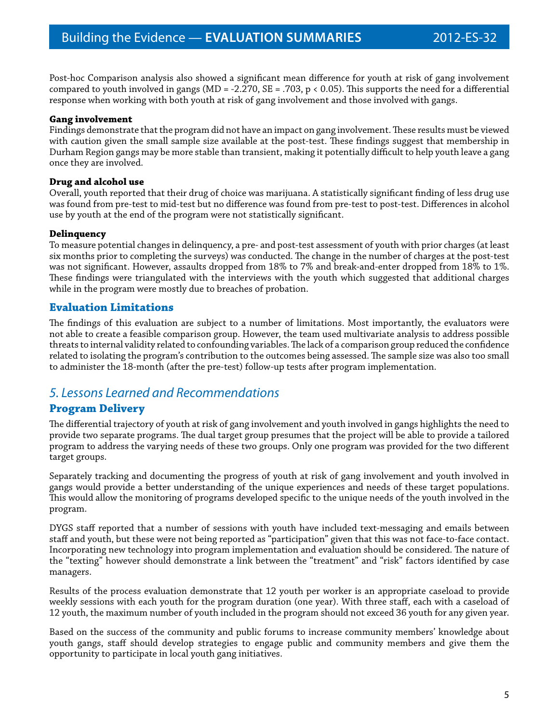Post-hoc Comparison analysis also showed a significant mean difference for youth at risk of gang involvement compared to youth involved in gangs (MD = -2.270, SE = .703, p < 0.05). This supports the need for a differential response when working with both youth at risk of gang involvement and those involved with gangs.

#### **Gang involvement**

Findings demonstrate that the program did not have an impact on gang involvement. These results must be viewed with caution given the small sample size available at the post-test. These findings suggest that membership in Durham Region gangs may be more stable than transient, making it potentially difficult to help youth leave a gang once they are involved.

#### **Drug and alcohol use**

Overall, youth reported that their drug of choice was marijuana. A statistically significant finding of less drug use was found from pre-test to mid-test but no difference was found from pre-test to post-test. Differences in alcohol use by youth at the end of the program were not statistically significant.

#### **Delinquency**

To measure potential changes in delinquency, a pre- and post-test assessment of youth with prior charges (at least six months prior to completing the surveys) was conducted. The change in the number of charges at the post-test was not significant. However, assaults dropped from 18% to 7% and break-and-enter dropped from 18% to 1%. These findings were triangulated with the interviews with the youth which suggested that additional charges while in the program were mostly due to breaches of probation.

### **Evaluation Limitations**

The findings of this evaluation are subject to a number of limitations. Most importantly, the evaluators were not able to create a feasible comparison group. However, the team used multivariate analysis to address possible threats to internal validity related to confounding variables. The lack of a comparison group reduced the confidence related to isolating the program's contribution to the outcomes being assessed. The sample size was also too small to administer the 18-month (after the pre-test) follow-up tests after program implementation.

## *5. Lessons Learned and Recommendations*

### **Program Delivery**

The differential trajectory of youth at risk of gang involvement and youth involved in gangs highlights the need to provide two separate programs. The dual target group presumes that the project will be able to provide a tailored program to address the varying needs of these two groups. Only one program was provided for the two different target groups.

Separately tracking and documenting the progress of youth at risk of gang involvement and youth involved in gangs would provide a better understanding of the unique experiences and needs of these target populations. This would allow the monitoring of programs developed specific to the unique needs of the youth involved in the program.

DYGS staff reported that a number of sessions with youth have included text-messaging and emails between staff and youth, but these were not being reported as "participation" given that this was not face-to-face contact. Incorporating new technology into program implementation and evaluation should be considered. The nature of the "texting" however should demonstrate a link between the "treatment" and "risk" factors identified by case managers.

Results of the process evaluation demonstrate that 12 youth per worker is an appropriate caseload to provide weekly sessions with each youth for the program duration (one year). With three staff, each with a caseload of 12 youth, the maximum number of youth included in the program should not exceed 36 youth for any given year.

Based on the success of the community and public forums to increase community members' knowledge about youth gangs, staff should develop strategies to engage public and community members and give them the opportunity to participate in local youth gang initiatives.